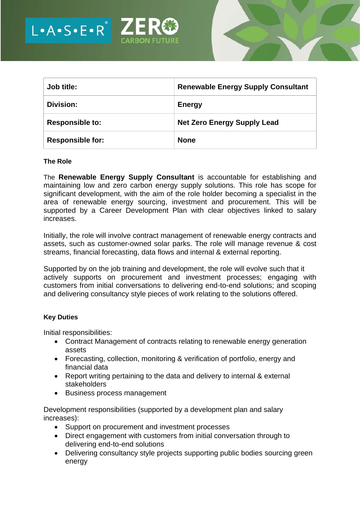

| Job title:              | <b>Renewable Energy Supply Consultant</b> |
|-------------------------|-------------------------------------------|
| Division:               | <b>Energy</b>                             |
| <b>Responsible to:</b>  | <b>Net Zero Energy Supply Lead</b>        |
| <b>Responsible for:</b> | <b>None</b>                               |

#### **The Role**

The **Renewable Energy Supply Consultant** is accountable for establishing and maintaining low and zero carbon energy supply solutions. This role has scope for significant development, with the aim of the role holder becoming a specialist in the area of renewable energy sourcing, investment and procurement. This will be supported by a Career Development Plan with clear objectives linked to salary increases.

Initially, the role will involve contract management of renewable energy contracts and assets, such as customer-owned solar parks. The role will manage revenue & cost streams, financial forecasting, data flows and internal & external reporting.

Supported by on the job training and development, the role will evolve such that it actively supports on procurement and investment processes; engaging with customers from initial conversations to delivering end-to-end solutions; and scoping and delivering consultancy style pieces of work relating to the solutions offered.

## **Key Duties**

Initial responsibilities:

- Contract Management of contracts relating to renewable energy generation assets
- Forecasting, collection, monitoring & verification of portfolio, energy and financial data
- Report writing pertaining to the data and delivery to internal & external stakeholders
- Business process management

Development responsibilities (supported by a development plan and salary increases):

- Support on procurement and investment processes
- Direct engagement with customers from initial conversation through to delivering end-to-end solutions
- Delivering consultancy style projects supporting public bodies sourcing green energy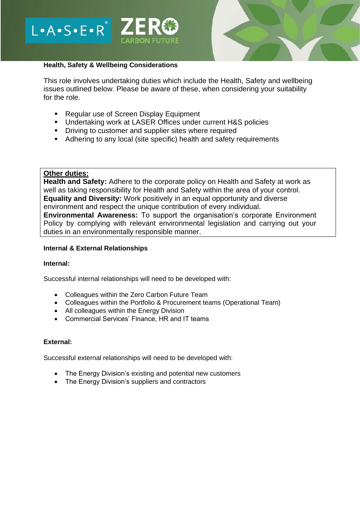



## **Health, Safety & Wellbeing Considerations**

This role involves undertaking duties which include the Health, Safety and wellbeing issues outlined below. Please be aware of these, when considering your suitability for the role.

- Regular use of Screen Display Equipment
- Undertaking work at LASER Offices under current H&S policies
- Driving to customer and supplier sites where required
- Adhering to any local (site specific) health and safety requirements

## **Other duties:**

**Health and Safety:** Adhere to the corporate policy on Health and Safety at work as well as taking responsibility for Health and Safety within the area of your control. **Equality and Diversity:** Work positively in an equal opportunity and diverse environment and respect the unique contribution of every individual. **Environmental Awareness:** To support the organisation's corporate Environment Policy by complying with relevant environmental legislation and carrying out your duties in an environmentally responsible manner.

## **Internal & External Relationships**

#### **Internal:**

Successful internal relationships will need to be developed with:

- Colleagues within the Zero Carbon Future Team
- Colleagues within the Portfolio & Procurement teams (Operational Team)
- All colleagues within the Energy Division
- Commercial Services' Finance, HR and IT teams

## **External:**

Successful external relationships will need to be developed with:

- The Energy Division's existing and potential new customers
- The Energy Division's suppliers and contractors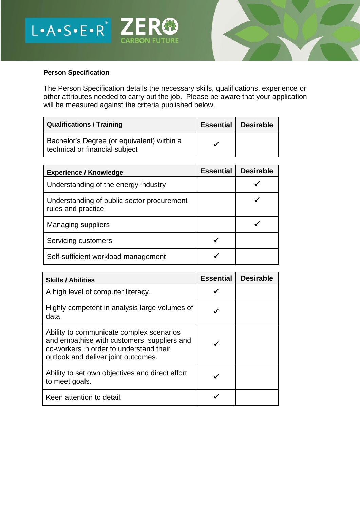



# **Person Specification**

The Person Specification details the necessary skills, qualifications, experience or other attributes needed to carry out the job. Please be aware that your application will be measured against the criteria published below.

| <b>Qualifications / Training</b>                                             | <b>Essential</b> | Desirable |
|------------------------------------------------------------------------------|------------------|-----------|
| Bachelor's Degree (or equivalent) within a<br>technical or financial subject |                  |           |

| <b>Experience / Knowledge</b>                                    | <b>Essential</b> | <b>Desirable</b> |
|------------------------------------------------------------------|------------------|------------------|
| Understanding of the energy industry                             |                  |                  |
| Understanding of public sector procurement<br>rules and practice |                  |                  |
| <b>Managing suppliers</b>                                        |                  |                  |
| Servicing customers                                              |                  |                  |
| Self-sufficient workload management                              |                  |                  |

| <b>Skills / Abilities</b>                                                                                                                                                 | <b>Essential</b> | <b>Desirable</b> |
|---------------------------------------------------------------------------------------------------------------------------------------------------------------------------|------------------|------------------|
| A high level of computer literacy.                                                                                                                                        |                  |                  |
| Highly competent in analysis large volumes of<br>data.                                                                                                                    |                  |                  |
| Ability to communicate complex scenarios<br>and empathise with customers, suppliers and<br>co-workers in order to understand their<br>outlook and deliver joint outcomes. |                  |                  |
| Ability to set own objectives and direct effort<br>to meet goals.                                                                                                         |                  |                  |
| Keen attention to detail.                                                                                                                                                 |                  |                  |